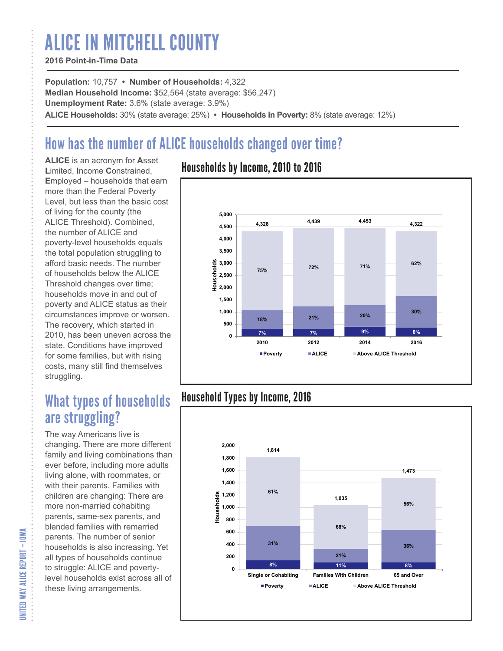# ALICE IN MITCHELL COUNTY

#### **2016 Point-in-Time Data**

**Population:** 10,757 **• Number of Households:** 4,322 **Median Household Income:** \$52,564 (state average: \$56,247) **Unemployment Rate:** 3.6% (state average: 3.9%) **ALICE Households:** 30% (state average: 25%) **• Households in Poverty:** 8% (state average: 12%)

# How has the number of ALICE households changed over time?

**ALICE** is an acronym for **A**sset **L**imited, **I**ncome **C**onstrained, **E**mployed – households that earn more than the Federal Poverty Level, but less than the basic cost of living for the county (the ALICE Threshold). Combined, the number of ALICE and poverty-level households equals the total population struggling to afford basic needs. The number of households below the ALICE Threshold changes over time; households move in and out of poverty and ALICE status as their circumstances improve or worsen. The recovery, which started in 2010, has been uneven across the state. Conditions have improved for some families, but with rising costs, many still find themselves struggling.

## What types of households are struggling?

The way Americans live is changing. There are more different family and living combinations than ever before, including more adults living alone, with roommates, or with their parents. Families with children are changing: There are more non-married cohabiting parents, same-sex parents, and blended families with remarried parents. The number of senior households is also increasing. Yet all types of households continue to struggle: ALICE and povertylevel households exist across all of these living arrangements.

### Households by Income, 2010 to 2016



### Household Types by Income, 2016